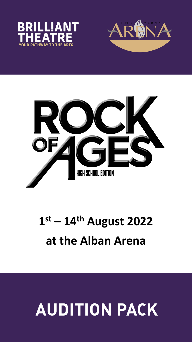





**1st – 14th August 2022 at the Alban Arena**

# **AUDITION PACK**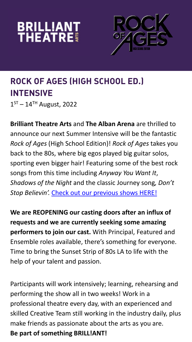



# **ROCK OF AGES (HIGH SCHOOL ED.) INTENSIVE**

 $1<sup>ST</sup> - 14<sup>TH</sup>$  August, 2022

**Brilliant Theatre Arts** and **The Alban Arena** are thrilled to announce our next Summer Intensive will be the fantastic *Rock of Ages* (High School Edition)! *Rock of Ages* takes you back to the 80s, where big egos played big guitar solos, sporting even bigger hair! Featuring some of the best rock songs from this time including *Anyway You Want It*, *Shadows of the Night* and the classic Journey song*, Don't Stop Believin'.* [Check out our previous shows HERE!](https://youtube.com/playlist?list=PL_3PuMlz4MkNRPdF_tawSwmoVpA9bfWXC)

**We are REOPENING our casting doors after an influx of requests and we are currently seeking some amazing performers to join our cast.** With Principal, Featured and Ensemble roles available, there's something for everyone. Time to bring the Sunset Strip of 80s LA to life with the help of your talent and passion.

Participants will work intensively; learning, rehearsing and performing the show all in two weeks! Work in a professional theatre every day, with an experienced and skilled Creative Team still working in the industry daily, plus make friends as passionate about the arts as you are. **Be part of something BRILL!ANT!**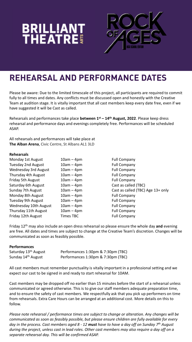



# **REHEARSAL AND PERFORMANCE DATES**

Please be aware: Due to the limited timescale of this project, all participants are required to commit fully to all times and dates. Any conflicts must be discussed open and honestly with the Creative Team at audition stage. It is vitally important that all cast members keep every date free, even if we have suggested it will be Cast as called.

Rehearsals and performances take place **between 1st – 14th August, 2022**. Please keep dress rehearsal and performance days and evenings completely free. Performances will be scheduled ASAP.

All rehearsals and performances will take place at **The Alban Arena**, Civic Centre, St Albans AL1 3LD

#### **Rehearsals**

| Monday 1st August           | $10am - 4pm$ | <b>Full Company</b>               |
|-----------------------------|--------------|-----------------------------------|
| <b>Tuesday 2nd August</b>   | $10am - 4pm$ | <b>Full Company</b>               |
| <b>Wednesday 3rd August</b> | $10am - 4pm$ | <b>Full Company</b>               |
| Thursday 4th August         | $10am - 4pm$ | <b>Full Company</b>               |
| Friday 5th August           | $10am - 4pm$ | <b>Full Company</b>               |
| Saturday 6th August         | $10am - 4pm$ | Cast as called (TBC)              |
| Sunday 7th August           | $10am - 4pm$ | Cast as called (TBC) Age 13+ only |
| Monday 8th August           | $10am - 4pm$ | <b>Full Company</b>               |
| <b>Tuesday 9th August</b>   | $10am - 4pm$ | <b>Full Company</b>               |
| Wednesday 10th August       | $10am - 4pm$ | <b>Full Company</b>               |
| Thursday 11th August        | $10am - 4pm$ | <b>Full Company</b>               |
| Friday 12th August          | Times TBC    | <b>Full Company</b>               |

Friday 12th may also include an open dress rehearsal so please ensure the whole day **and** evening are free. All dates and times are subject to change at the Creative Team's discretion. Changes will be communicated as soon as feasibly possible.

#### **Performances**

| Saturday 13 <sup>th</sup> August | Performances 1:30pm & 7:30pm (TBC) |
|----------------------------------|------------------------------------|
| Sunday 14 <sup>th</sup> August   | Performances 1:30pm & 7:30pm (TBC) |

All cast members must remember punctuality is vitally important in a professional setting and we expect our cast to be signed in and ready to start rehearsal for 10AM.

Cast members may be dropped off no earlier than 15 minutes before the start of a rehearsal unless communicated or agreed otherwise. This is to give our staff members adequate preparation time, and to ensure the safety of cast members. We respectfully ask that you pick up performers on time from rehearsals. Extra Care Hours can be arranged at an additional cost. More details on this to follow.

*Please note rehearsal / performance times are subject to change or alteration. Any changes will be communicated as soon as feasibly possible, but please ensure children are fully available for every day in the process. Cast members aged 8 - 12 must have to have a day off on Sunday 7th August during the project, unless cast in lead roles. Other cast members may also require a day off on a separate rehearsal day. This will be confirmed ASAP.*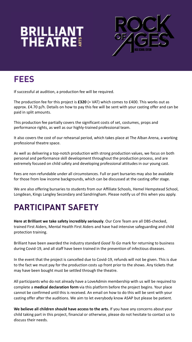

# **FEES**

If successful at audition, a production fee will be required.

The production fee for this project is **£320** (+ VAT) which comes to £400. This works out as approx. £4.70 p/h. Details on how to pay this fee will be sent with your casting offer and can be paid in split amounts.

This production fee partially covers the significant costs of set, costumes, props and performance rights, as well as our highly-trained professional team.

It also covers the cost of our rehearsal period, which takes place at The Alban Arena, a working professional theatre space.

As well as delivering a top-notch production with strong production values, we focus on both personal and performance skill development throughout the production process, and are extremely focused on child safety and developing professional attitudes in our young cast.

Fees are non-refundable under all circumstances. Full or part bursaries may also be available for those from low income backgrounds, which can be discussed at the casting offer stage.

We are also offering bursaries to students from our Affiliate Schools, Hemel Hempstead School, Longdean, Kings Langley Secondary and Sandringham. Please notify us of this when you apply.

# **PARTICIPANT SAFETY**

**Here at Brilliant we take safety incredibly seriously**. Our Core Team are all DBS-checked, trained First Aiders, Mental Health First Aiders and have had intensive safeguarding and child protection training.

Brilliant have been awarded the industry standard *Good To Go* mark for returning to business during Covid-19, and all staff have been trained in the prevention of infectious diseases.

In the event that the project is cancelled due to Covid-19, refunds will not be given. This is due to the fact we must pay for the production costs up front prior to the shows. Any tickets that may have been bought must be settled through the theatre.

All participants who do not already have a LoveAdmin membership with us will be required to complete a **medical declaration form** via this platform before the project begins. Your place cannot be confirmed until this is received. An email on how to do this will be sent with your casting offer after the auditions. We aim to let everybody know ASAP but please be patient.

**We believe all children should have access to the arts.** If you have any concerns about your child taking part in this project, financial or otherwise, please do not hesitate to contact us to discuss their needs.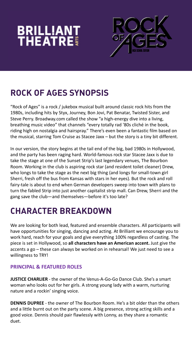

# **ROCK OF AGES SYNOPSIS**

"Rock of Ages" is a rock / jukebox musical built around classic rock hits from the 1980s, including hits by Styx, Journey, Bon Jovi, Pat Benatar, Twisted Sister, and Steve Perry. Broadway.com called the show "a high-energy dive into a living, breathing music video" that channels "every totally rad '80s cliché in the book, riding high on nostalgia and hairspray." There's even been a fantastic film based on the musical, starring Tom Cruise as Stacee Jaxx – but the story is a tiny bit different.

In our version, the story begins at the tail end of the big, bad 1980s in Hollywood, and the party has been raging hard. World-famous rock star Stacee Jaxx is due to take the stage at one of the Sunset Strip's last legendary venues, The Bourbon Room. Working in the club is aspiring rock star (and resident toilet cleaner) Drew, who longs to take the stage as the next big thing (and longs for small-town girl Sherri, fresh off the bus from Kansas with stars in her eyes). But the rock and roll fairy-tale is about to end when German developers sweep into town with plans to turn the fabled Strip into just another capitalist strip mall. Can Drew, Sherri and the gang save the club—and themselves—before it's too late?

## **CHARACTER BREAKDOWN**

We are looking for both lead, featured and ensemble characters. All participants will have opportunities for singing, dancing and acting. At Brilliant we encourage you to work hard, reach for your goals and give everything 100% regardless of casting. The piece is set in Hollywood, so **all characters have an American accent.** Just give the accents a go – these can always be worked on in rehearsal! We just need to see a willingness to TRY!

### **PRINCIPAL & FEATURED ROLES**

**JUSTICE CHARLIER** - the owner of the Venus-A-Go-Go Dance Club. She's a smart woman who looks out for her girls. A strong young lady with a warm, nurturing nature and a rockin' singing voice.

**DENNIS DUPREE** - the owner of The Bourbon Room. He's a bit older than the others and a little burnt out on the party scene. A big presence, strong acting skills and a good voice. Dennis should pair flawlessly with Lonny, as they share a romantic duet.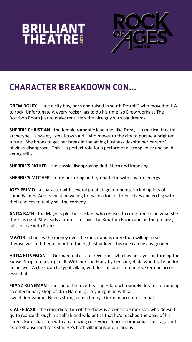



## **CHARACTER BREAKDOWN CON...**

**DREW BOLEY** - "just a city boy, born and raised in south Detroit" who moved to L.A. to rock. Unfortunately, every rocker has to do his time, so Drew works at The Bourbon Room just to make rent. He's the nice guy with big dreams.

**SHERRIE CHRISTIAN** - the female romantic lead and, like Drew, is a musical theatre archetype – a sweet, "small-town girl" who moves to the city to pursue a brighter future. She hopes to get her break in the acting business despite her parents' obvious disapproval. This is a perfect role for a performer a strong voice and solid acting skills.

**SHERRIE'S FATHER** - the classic disapproving dad. Stern and imposing.

**SHERRIE'S MOTHER** - more nurturing and sympathetic with a warm energy.

**JOEY PRIMO** - a character with several great stage moments, including lots of comedy lines. Actors must be willing to make a fool of themselves and go big with their choices to really sell the comedy.

**ANITA BATH** - the Mayor's plucky assistant who refuses to compromise on what she thinks is right. She leads a protest to save The Bourbon Room and, in the process, falls in love with Franz.

**MAYOR** - chooses the money over the music and is more than willing to sell themselves and their city out to the highest bidder. This role can by any gender.

**HILDA KLINEMAN** - a German real estate developer who has her eyes on turning the Sunset Strip into a strip mall. With her son Franz by her side, Hilda won't take no for an answer. A classic archetypal villain, with lots of comic moments. German accent essential.

**FRANZ KLINEMAN** - the son of the overbearing Hilda, who simply dreams of running a confectionary shop back in Hamburg. A young man with a sweet demeanour. Needs strong comic timing. German accent essential.

**STACEE JAXX** - the comedic villain of the show, is a bona fide rock star who doesn't quite realize through his selfish and wild antics that he's reached the peak of his career. Pure charisma with an amazing rock voice. Stacee commands the stage and as a self-absorbed rock star. He's both villainous and hilarious.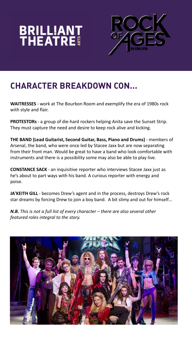

## **CHARACTER BREAKDOWN CON...**

**WAITRESSES** - work at The Bourbon Room and exemplify the era of 1980s rock with style and flair.

**PROTESTORs** - a group of die-hard rockers helping Anita save the Sunset Strip. They must capture the need and desire to keep rock alive and kicking.

**THE BAND (Lead Guitarist, Second Guitar, Bass, Piano and Drums)** - members of Arsenal, the band, who were once led by Stacee Jaxx but are now separating from their front man. Would be great to have a band who look comfortable with instruments and there is a possibility some may also be able to play live.

**CONSTANCE SACK** - an inquisitive reporter who interviews Stacee Jaxx just as he's about to part ways with his band. A curious reporter with energy and poise.

**JA'KEITH GILL** - becomes Drew's agent and in the process, destroys Drew's rock star dreams by forcing Drew to join a boy band. A bit slimy and out for himself…

*N.B. This is not a full list of every character – there are also several other featured roles integral to the story.*

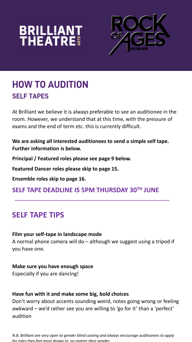



# **HOW TO AUDITION SELF TAPES**

At Brilliant we believe it is always preferable to see an auditionee in the room. However, we understand that at this time, with the pressure of exams and the end of term etc. this is currently difficult.

**We are asking all interested auditionees to send a simple self tape. Further information is below.** 

**Principal / Featured roles please see page 9 below.**

**Featured Dancer roles please skip to page 15.**

**Ensemble roles skip to page 16.**

## **SELF TAPE DEADLINE IS 5PM THURSDAY 30TH JUNE**

## **SELF TAPE TIPS**

### **Film your self-tape in landscape mode**

A normal phone camera will do – although we suggest using a tripod if you have one.

### **Make sure you have enough space**

Especially if you are dancing!

### **Have fun with it and make some big, bold choices**

Don't worry about accents sounding weird, notes going wrong or feeling awkward – we'd rather see you are willing to 'go for it' than a 'perfect' audition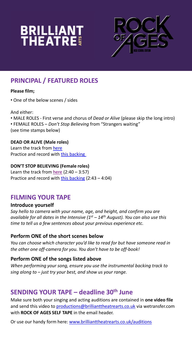

## **PRINCIPAL / FEATURED ROLES**

#### **Please film;**

• One of the below scenes / sides

And either:

• MALE ROLES - First verse and chorus of *Dead or Alive* (please skip the long intro)

• FEMALE ROLES – *Don't Stop Believing* from "Strangers waiting"

(see time stamps below)

### **DEAD OR ALIVE (Male roles)**

Learn the track from [here](https://www.youtube.com/results?search_query=bon+jovi+dead+or+alive) Practice and record with [this backing](https://youtu.be/RlK9pfsYwZo)

### **DON'T STOP BELIEVING (Female roles)**

Learn the track from [here](https://youtu.be/-yuhiCKRetw?t=159)  $(2:40 - 3:57)$ Practice and record with [this backing](https://youtu.be/c8wn2fMYvns?t=163)  $(2:43 - 4:04)$ 

## **FILMING YOUR TAPE**

### **Introduce yourself**

*Say hello to camera with your name, age, and height, and confirm you are available for all dates in the Intensive (1st – 14th August). You can also use this time to tell us a few sentences about your previous experience etc.*

### **Perform ONE of the short scenes below**

*You can choose which character you'd like to read for but have someone read in the other one off-camera for you. You don't have to be off-book!*

### **Perform ONE of the songs listed above**

*When performing your song, ensure you use the instrumental backing track to sing along to – just try your best, and show us your range.* 

## **SENDING YOUR TAPE – deadline 30th June**

Make sure both your singing and acting auditions are contained in **one video file**  and send this video to [productions@brillianttheatrearts.co.uk](mailto:productions@brillianttheatrearts.co.uk) via wetransfer.com with **ROCK OF AGES SELF TAPE** in the email header.

Or use our handy form here: [www.brillianttheatrearts.co.uk/auditions](http://www.brillianttheatrearts.co.uk/auditions)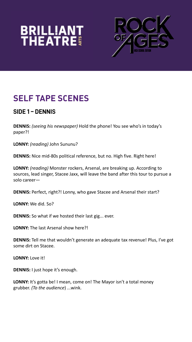

## **SELF TAPE SCENES**

### **SIDE 1 – DENNIS**

**DENNIS:** *(seeing his newspaper)* Hold the phone! You see who's in today's paper?!

**LONNY:** *(reading)* John Sununu?

**DENNIS:** Nice mid-80s political reference, but no. High five. Right here!

**LONNY:** *(reading)* Monster rockers, Arsenal, are breaking up. According to sources, lead singer, Stacee Jaxx, will leave the band after this tour to pursue a solo career—

**DENNIS:** Perfect, right?! Lonny, who gave Stacee and Arsenal their start?

**LONNY:** We did. So?

**DENNIS:** So what if we hosted their last gig... ever.

**LONNY:** The last Arsenal show here?!

**DENNIS:** Tell me that wouldn't generate an adequate tax revenue! Plus, I've got some dirt on Stacee.

**LONNY:** Love it!

**DENNIS:** I just hope it's enough.

LONNY: It's gotta be! I mean, come on! The Mayor isn't a total money grubber. *(To the audience*) ...wink.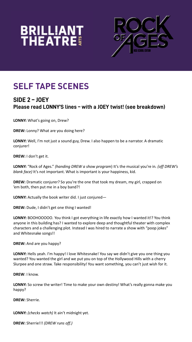

# **SELF TAPE SCENES**

### **SIDE 2 – JOEY Please read LONNY'S lines – with a JOEY twist! (see breakdown)**

**LONNY:** What's going on, Drew?

**DREW:** Lonny? What are you doing here?

**LONNY:** Well, I'm not just a sound guy, Drew. I also happen to be a narrator. A dramatic conjurer!

**DREW:** I don't get it.

**LONNY:** "Rock of Ages." *(handing DREW a show program*) It's the musical you're in*. (off DREW's blank face)* It's not important. What is important is your happiness, kid.

**DREW:** Dramatic conjurer? So you're the one that took my dream, my girl, crapped on 'em both, then put me in a boy band?!

**LONNY:** Actually the book writer did. I just conjured—

**DREW:** Dude, I didn't get one thing I wanted!

**LONNY:** BOOHOOOOO. You think I got everything in life exactly how I wanted it!? You think anyone in this building has? I wanted to explore deep and thoughtful theater with complex characters and a challenging plot. Instead I was hired to narrate a show with "poop jokes" and Whitesnake songs!!

**DREW:** And are you happy?

**LONNY:** Hells yeah. I'm happy! I love Whitesnake! You say we didn't give you one thing you wanted? You wanted the girl and we put you on top of the Hollywood Hills with a cherry Slurpee and one straw. Take responsibility! You want something, you can't just wish for it.

**DREW**: I know.

LONNY: So screw the writer! Time to make your own destiny! What's really gonna make you happy?

**DREW:** Sherrie.

**LONNY:** *(checks watch)* It ain't midnight yet.

**DREW:** Sherrie!!! *(DREW runs off.)*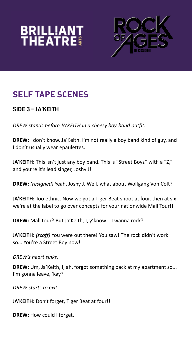



## **SELF TAPE SCENES**

## **SIDE 3 – JA'KEITH**

*DREW stands before JA'KEITH in a cheesy boy-band outfit.*

**DREW:** I don't know, Ja'Keith. I'm not really a boy band kind of guy, and I don't usually wear epaulettes.

**JA'KEITH:** This isn't just any boy band. This is "Street Boyz" with a "Z," and you're it's lead singer, Joshy J!

**DREW:** *(resigned)* Yeah, Joshy J. Well, what about Wolfgang Von Colt?

**JA'KEITH:** Too ethnic. Now we got a Tiger Beat shoot at four, then at six we're at the label to go over concepts for your nationwide Mall Tour!!

**DREW:** Mall tour? But Ja'Keith, I, y'know... I wanna rock?

**JA'KEITH:** *(scoff)* You were out there! You saw! The rock didn't work so... You're a Street Boy now!

*DREW's heart sinks.*

**DREW:** Um, Ja'Keith, I, ah, forgot something back at my apartment so... I'm gonna leave, 'kay?

*DREW starts to exit.*

**JA'KEITH:** Don't forget, Tiger Beat at four!!

**DREW:** How could I forget.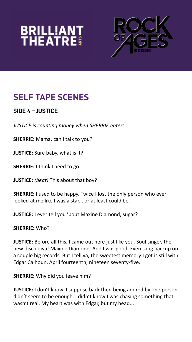

## **SELF TAPE SCENES**

## **SIDE 4 – JUSTICE**

*JUSTICE is counting money when SHERRIE enters.*

**SHERRIE:** Mama, can I talk to you?

**JUSTICE:** Sure baby, what is it?

**SHERRIE:** I think I need to go.

**JUSTICE:** *(beat)* This about that boy?

**SHERRIE:** I used to be happy. Twice I lost the only person who ever looked at me like I was a star... or at least could be.

**JUSTICE:** I ever tell you 'bout Maxine Diamond, sugar?

**SHERRIE:** Who?

**JUSTICE:** Before all this, I came out here just like you. Soul singer, the new disco diva! Maxine Diamond. And I was good. Even sang backup on a couple big records. But I tell ya, the sweetest memory I got is still with Edgar Calhoun, April fourteenth, nineteen seventy-five.

**SHERRIE:** Why did you leave him?

**JUSTICE:** I don't know. I suppose back then being adored by one person didn't seem to be enough. I didn't know I was chasing something that wasn't real. My heart was with Edgar, but my head...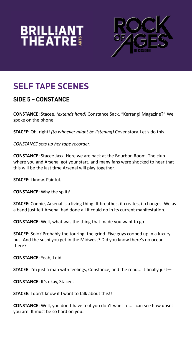



# **SELF TAPE SCENES**

## **SIDE 5 – CONSTANCE**

**CONSTANCE:** Stacee. *(extends hand)* Constance Sack. "Kerrang! Magazine?" We spoke on the phone.

**STACEE:** Oh, right! *(to whoever might be listening)* Cover story. Let's do this.

*CONSTANCE sets up her tape recorder.*

**CONSTANCE:** Stacee Jaxx. Here we are back at the Bourbon Room. The club where you and Arsenal got your start, and many fans were shocked to hear that this will be the last time Arsenal will play together.

**STACEE:** I know. Painful.

**CONSTANCE:** Why the split?

**STACEE:** Connie, Arsenal is a living thing. It breathes, it creates, it changes. We as a band just felt Arsenal had done all it could do in its current manifestation.

**CONSTANCE:** Well, what was the thing that made you want to go—

**STACEE:** Solo? Probably the touring, the grind. Five guys cooped up in a luxury bus. And the sushi you get in the Midwest? Did you know there's no ocean there?

**CONSTANCE:** Yeah, I did.

**STACEE**: I'm just a man with feelings, Constance, and the road... It finally just—

**CONSTANCE:** It's okay, Stacee.

**STACEE:** I don't know if I want to talk about this!!

**CONSTANCE:** Well, you don't have to if you don't want to... I can see how upset you are. It must be so hard on you…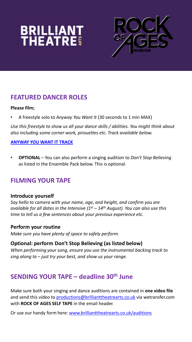

## **FEATURED DANCER ROLES**

#### **Please film;**

• A freestyle solo to *Anyway You Want It* (30 seconds to 1 min MAX)

*Use this freestyle to show us all your dance skills / abilities. You might think about also including some corner work, pirouettes etc. Track available below.*

### **[ANYWAY YOU WANT IT TRACK](https://youtu.be/NnEhkYkHO9g)**

• **OPTIONAL** – You can also perform a singing audition to *Don't Stop Believing*  as listed in the Ensemble Pack below. This is optional.

## **FILMING YOUR TAPE**

### **Introduce yourself**

*Say hello to camera with your name, age, and height, and confirm you are available for all dates in the Intensive (1st – 14th August). You can also use this time to tell us a few sentences about your previous experience etc.*

### **Perform your routine**

*Make sure you have plenty of space to safely perform.*

#### **Optional: perform Don't Stop Believing (as listed below)** *When performing your song, ensure you use the instrumental backing track to sing along to – just try your best, and show us your range.*

## **SENDING YOUR TAPE – deadline 30th June**

Make sure both your singing and dance auditions are contained in **one video file**  and send this video to [productions@brillianttheatrearts.co.uk](mailto:productions@brillianttheatrearts.co.uk) via wetransfer.com with **ROCK OF AGES SELF TAPE** in the email header.

Or use our handy form here: [www.brillianttheatrearts.co.uk/auditions](http://www.brillianttheatrearts.co.uk/auditions)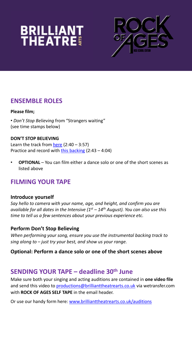

## **ENSEMBLE ROLES**

#### **Please film;**

• *Don't Stop Believing* from "Strangers waiting" (see time stamps below)

#### **DON'T STOP BELIEVING**

Learn the track from [here](https://youtu.be/-yuhiCKRetw?t=159)  $(2:40 - 3:57)$ Practice and record with [this backing](https://youtu.be/c8wn2fMYvns?t=163) (2:43 – 4:04)

• **OPTIONAL** – You can film either a dance solo or one of the short scenes as listed above

## **FILMING YOUR TAPE**

### **Introduce yourself**

*Say hello to camera with your name, age, and height, and confirm you are available for all dates in the Intensive (1st – 14th August). You can also use this time to tell us a few sentences about your previous experience etc.*

### **Perform Don't Stop Believing**

*When performing your song, ensure you use the instrumental backing track to sing along to – just try your best, and show us your range.* 

### **Optional: Perform a dance solo or one of the short scenes above**

### **SENDING YOUR TAPE – deadline 30th June**

Make sure both your singing and acting auditions are contained in **one video file**  and send this video to [productions@brillianttheatrearts.co.uk](mailto:productions@brillianttheatrearts.co.uk) via wetransfer.com with **ROCK OF AGES SELF TAPE** in the email header.

Or use our handy form here: [www.brillianttheatrearts.co.uk/auditions](http://www.brillianttheatrearts.co.uk/auditions)